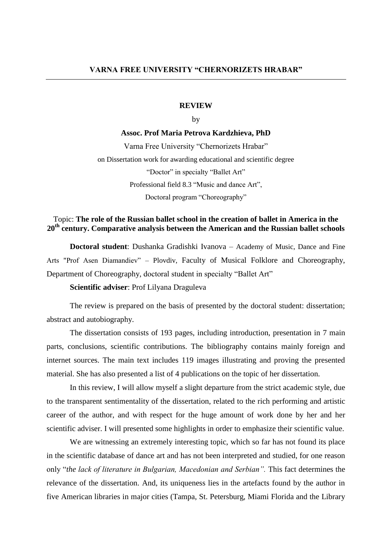### **REVIEW**

## by

#### **Assoc. Prof Maria Petrova Kardzhieva, PhD**

Varna Free University "Chernorizets Hrabar" on Dissertation work for awarding educational and scientific degree "Doctor" in specialty "Ballet Art" Professional field 8.3 "Music and dance Art", Doctoral program "Choreography"

# Topic: **The role of the Russian ballet school in the creation of ballet in America in the 20th century. Comparative analysis between the American and the Russian ballet schools**

**Doctoral student**: Dushanka Gradishki Ivanova – Academy of Music, Dance and Fine Arts "Prof Asen Diamandiev" – Plovdiv, Faculty of Musical Folklore and Choreography, Department of Choreography, doctoral student in specialty "Ballet Art"

**Scientific adviser**: Prof Lilyana Draguleva

The review is prepared on the basis of presented by the doctoral student: dissertation; abstract and autobiography.

The dissertation consists of 193 pages, including introduction, presentation in 7 main parts, conclusions, scientific contributions. The bibliography contains mainly foreign and internet sources. The main text includes 119 images illustrating and proving the presented material. She has also presented a list of 4 publications on the topic of her dissertation.

In this review, I will allow myself a slight departure from the strict academic style, due to the transparent sentimentality of the dissertation, related to the rich performing and artistic career of the author, and with respect for the huge amount of work done by her and her scientific adviser. I will presented some highlights in order to emphasize their scientific value.

We are witnessing an extremely interesting topic, which so far has not found its place in the scientific database of dance art and has not been interpreted and studied, for one reason only "*the lack of literature in Bulgarian, Macedonian and Serbian".* This fact determines the relevance of the dissertation. And, its uniqueness lies in the artefacts found by the author in five American libraries in major cities (Tampa, St. Petersburg, Miami Florida and the Library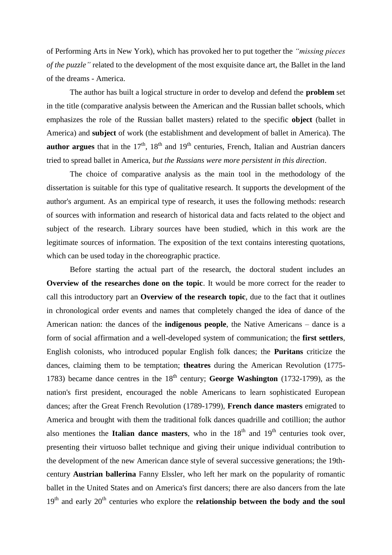of Performing Arts in New York), which has provoked her to put together the *"missing pieces of the puzzle"* related to the development of the most exquisite dance art, the Ballet in the land of the dreams - America.

The author has built a logical structure in order to develop and defend the **problem** set in the title (comparative analysis between the American and the Russian ballet schools, which emphasizes the role of the Russian ballet masters) related to the specific **object** (ballet in America) and **subject** of work (the establishment and development of ballet in America). The **author argues** that in the  $17<sup>th</sup>$ ,  $18<sup>th</sup>$  and  $19<sup>th</sup>$  centuries, French, Italian and Austrian dancers tried to spread ballet in America, *but the Russians were more persistent in this direction*.

The choice of comparative analysis as the main tool in the methodology of the dissertation is suitable for this type of qualitative research. It supports the development of the author's argument. As an empirical type of research, it uses the following methods: research of sources with information and research of historical data and facts related to the object and subject of the research. Library sources have been studied, which in this work are the legitimate sources of information. The exposition of the text contains interesting quotations, which can be used today in the choreographic practice.

Before starting the actual part of the research, the doctoral student includes an **Overview of the researches done on the topic**. It would be more correct for the reader to call this introductory part an **Overview of the research topic**, due to the fact that it outlines in chronological order events and names that completely changed the idea of dance of the American nation: the dances of the **indigenous people**, the Native Americans – dance is a form of social affirmation and a well-developed system of communication; the **first settlers**, English colonists, who introduced popular English folk dances; the **Puritans** criticize the dances, claiming them to be temptation; **theatres** during the American Revolution (1775- 1783) became dance centres in the  $18<sup>th</sup>$  century; **George Washington** (1732-1799), as the nation's first president, encouraged the noble Americans to learn sophisticated European dances; after the Great French Revolution (1789-1799), **French dance masters** emigrated to America and brought with them the traditional folk dances quadrille and cotillion; the author also mentiones the **Italian dance masters**, who in the  $18<sup>th</sup>$  and  $19<sup>th</sup>$  centuries took over, presenting their virtuoso ballet technique and giving their unique individual contribution to the development of the new American dance style of several successive generations; the 19thcentury **Austrian ballerina** Fanny Elssler, who left her mark on the popularity of romantic ballet in the United States and on America's first dancers; there are also dancers from the late 19<sup>th</sup> and early 20<sup>th</sup> centuries who explore the **relationship between the body and the soul**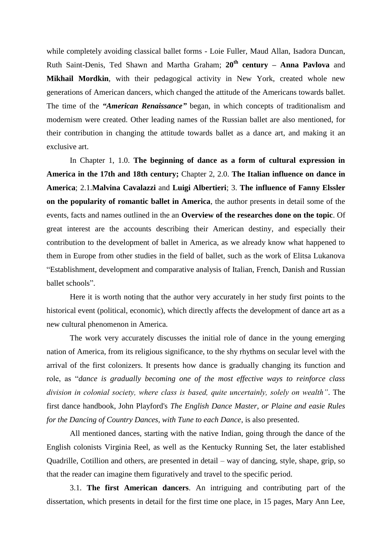while completely avoiding classical ballet forms - Loie Fuller, Maud Allan, Isadora Duncan, Ruth Saint-Denis, Ted Shawn and Martha Graham; **20th century – Anna Pavlova** and **Mikhail Mordkin**, with their pedagogical activity in New York, created whole new generations of American dancers, which changed the attitude of the Americans towards ballet. The time of the *"American Renaissance"* began, in which concepts of traditionalism and modernism were created. Other leading names of the Russian ballet are also mentioned, for their contribution in changing the attitude towards ballet as a dance art, and making it an exclusive art.

In Chapter 1, 1.0. **The beginning of dance as a form of cultural expression in America in the 17th and 18th century;** Chapter 2, 2.0. **The Italian influence on dance in America**; 2.1.**Malvina Cavalazzi** and **Luigi Albertieri**; 3. **The influence of Fanny Elssler on the popularity of romantic ballet in America**, the author presents in detail some of the events, facts and names outlined in the an **Overview of the researches done on the topic**. Of great interest are the accounts describing their American destiny, and especially their contribution to the development of ballet in America, as we already know what happened to them in Europe from other studies in the field of ballet, such as the work of Elitsa Lukanova "Establishment, development and comparative analysis of Italian, French, Danish and Russian ballet schools".

Here it is worth noting that the author very accurately in her study first points to the historical event (political, economic), which directly affects the development of dance art as a new cultural phenomenon in America.

The work very accurately discusses the initial role of dance in the young emerging nation of America, from its religious significance, to the shy rhythms on secular level with the arrival of the first colonizers. It presents how dance is gradually changing its function and role, as "*dance is gradually becoming one of the most effective ways to reinforce class division in colonial society, where class is based, quite uncertainly, solely on wealth"*. The first dance handbook, John Playford's *The English Dance Master, or Plaine and easie Rules for the Dancing of Country Dances, with Tune to each Dance*, is also presented.

All mentioned dances, starting with the native Indian, going through the dance of the English colonists Virginia Reel, as well as the Kentucky Running Set, the later established Quadrille, Cotillion and others, are presented in detail – way of dancing, style, shape, grip, so that the reader can imagine them figuratively and travel to the specific period.

3.1. **The first American dancers**. An intriguing and contributing part of the dissertation, which presents in detail for the first time one place, in 15 pages, Mary Ann Lee,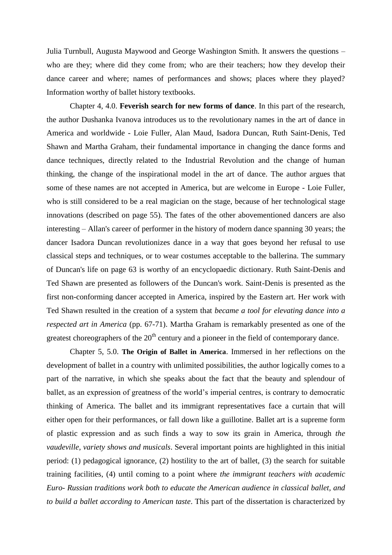Julia Turnbull, Augusta Maywood and George Washington Smith. It answers the questions – who are they; where did they come from; who are their teachers; how they develop their dance career and where; names of performances and shows; places where they played? Information worthy of ballet history textbooks.

Chapter 4, 4.0. **Feverish search for new forms of dance**. In this part of the research, the author Dushanka Ivanova introduces us to the revolutionary names in the art of dance in America and worldwide - Loie Fuller, Alan Maud, Isadora Duncan, Ruth Saint-Denis, Ted Shawn and Martha Graham, their fundamental importance in changing the dance forms and dance techniques, directly related to the Industrial Revolution and the change of human thinking, the change of the inspirational model in the art of dance. The author argues that some of these names are not accepted in America, but are welcome in Europe - Loie Fuller, who is still considered to be a real magician on the stage, because of her technological stage innovations (described on page 55). The fates of the other abovementioned dancers are also interesting – Allan's career of performer in the history of modern dance spanning 30 years; the dancer Isadora Duncan revolutionizes dance in a way that goes beyond her refusal to use classical steps and techniques, or to wear costumes acceptable to the ballerina. The summary of Duncan's life on page 63 is worthy of an encyclopaedic dictionary. Ruth Saint-Denis and Ted Shawn are presented as followers of the Duncan's work. Saint-Denis is presented as the first non-conforming dancer accepted in America, inspired by the Eastern art. Her work with Ted Shawn resulted in the creation of a system that *became a tool for elevating dance into a respected art in America* (pp. 67-71). Martha Graham is remarkably presented as one of the greatest choreographers of the  $20<sup>th</sup>$  century and a pioneer in the field of contemporary dance.

Chapter 5, 5.0. **The Origin of Ballet in America**. Immersed in her reflections on the development of ballet in a country with unlimited possibilities, the author logically comes to a part of the narrative, in which she speaks about the fact that the beauty and splendour of ballet, as an expression of greatness of the world's imperial centres, is contrary to democratic thinking of America. The ballet and its immigrant representatives face a curtain that will either open for their performances, or fall down like a guillotine. Ballet art is a supreme form of plastic expression and as such finds a way to sow its grain in America, through *the vaudeville, variety shows and musicals*. Several important points are highlighted in this initial period: (1) pedagogical ignorance, (2) hostility to the art of ballet, (3) the search for suitable training facilities, (4) until coming to a point where *the immigrant teachers with academic Euro- Russian traditions work both to educate the American audience in classical ballet, and to build a ballet according to American taste*. This part of the dissertation is characterized by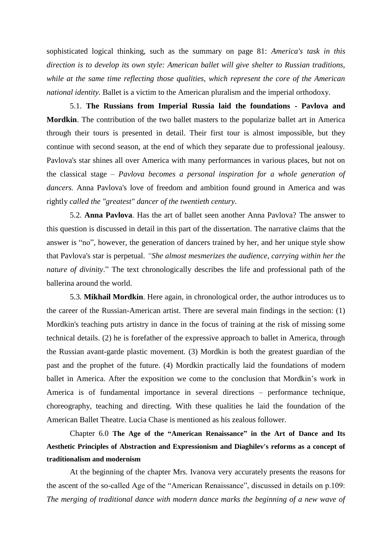sophisticated logical thinking, such as the summary on page 81: *America's task in this direction is to develop its own style: American ballet will give shelter to Russian traditions, while at the same time reflecting those qualities, which represent the core of the American national identity.* Ballet is a victim to the American pluralism and the imperial orthodoxy.

5.1. **The Russians from Imperial Russia laid the foundations - Pavlova and Mordkin**. The contribution of the two ballet masters to the popularize ballet art in America through their tours is presented in detail. Their first tour is almost impossible, but they continue with second season, at the end of which they separate due to professional jealousy. Pavlova's star shines all over America with many performances in various places, but not on the classical stage – *Pavlova becomes a personal inspiration for a whole generation of dancers.* Anna Pavlova's love of freedom and ambition found ground in America and was rightly *called the "greatest" dancer of the twentieth century*.

5.2. **Anna Pavlova**. Has the art of ballet seen another Anna Pavlova? The answer to this question is discussed in detail in this part of the dissertation. The narrative claims that the answer is "no", however, the generation of dancers trained by her, and her unique style show that Pavlova's star is perpetual. *"She almost mesmerizes the audience, carrying within her the nature of divinity*." The text chronologically describes the life and professional path of the ballerina around the world.

5.3. **Mikhail Mordkin**. Here again, in chronological order, the author introduces us to the career of the Russian-American artist. There are several main findings in the section: (1) Mordkin's teaching puts artistry in dance in the focus of training at the risk of missing some technical details. (2) he is forefather of the expressive approach to ballet in America, through the Russian avant-garde plastic movement. (3) Mordkin is both the greatest guardian of the past and the prophet of the future. (4) Mordkin practically laid the foundations of modern ballet in America. After the exposition we come to the conclusion that Mordkin's work in America is of fundamental importance in several directions – performance technique, choreography, teaching and directing. With these qualities he laid the foundation of the American Ballet Theatre. Lucia Chase is mentioned as his zealous follower.

Chapter 6.0 **The Age of the "American Renaissance" in the Art of Dance and Its Aesthetic Principles of Abstraction and Expressionism and Diaghilev's reforms as a concept of traditionalism and modernism**

At the beginning of the chapter Mrs. Ivanova very accurately presents the reasons for the ascent of the so-called Age of the "American Renaissance", discussed in details on p.109: *The merging of traditional dance with modern dance marks the beginning of a new wave of*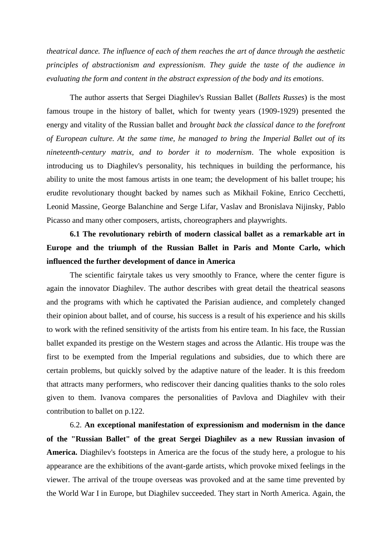*theatrical dance. The influence of each of them reaches the art of dance through the aesthetic principles of abstractionism and expressionism. They guide the taste of the audience in evaluating the form and content in the abstract expression of the body and its emotions*.

The author asserts that Sergei Diaghilev's Russian Ballet (*Ballets Russes*) is the most famous troupe in the history of ballet, which for twenty years (1909-1929) presented the energy and vitality of the Russian ballet and *brought back the classical dance to the forefront of European culture. At the same time, he managed to bring the Imperial Ballet out of its nineteenth-century matrix, and to border it to modernism*. The whole exposition is introducing us to Diaghilev's personality, his techniques in building the performance, his ability to unite the most famous artists in one team; the development of his ballet troupe; his erudite revolutionary thought backed by names such as Mikhail Fokine, Enrico Cecchetti, Leonid Massine, George Balanchine and Serge Lifar, Vaslav and Bronislava Nijinsky, Pablo Picasso and many other composers, artists, choreographers and playwrights.

# **6.1 The revolutionary rebirth of modern classical ballet as a remarkable art in Europe and the triumph of the Russian Ballet in Paris and Monte Carlo, which influenced the further development of dance in America**

The scientific fairytale takes us very smoothly to France, where the center figure is again the innovator Diaghilev. The author describes with great detail the theatrical seasons and the programs with which he captivated the Parisian audience, and completely changed their opinion about ballet, and of course, his success is a result of his experience and his skills to work with the refined sensitivity of the artists from his entire team. In his face, the Russian ballet expanded its prestige on the Western stages and across the Atlantic. His troupe was the first to be exempted from the Imperial regulations and subsidies, due to which there are certain problems, but quickly solved by the adaptive nature of the leader. It is this freedom that attracts many performers, who rediscover their dancing qualities thanks to the solo roles given to them. Ivanova compares the personalities of Pavlova and Diaghilev with their contribution to ballet on p.122.

6.2. **An exceptional manifestation of expressionism and modernism in the dance of the "Russian Ballet" of the great Sergei Diaghilev as a new Russian invasion of America.** Diaghilev's footsteps in America are the focus of the study here, a prologue to his appearance are the exhibitions of the avant-garde artists, which provoke mixed feelings in the viewer. The arrival of the troupe overseas was provoked and at the same time prevented by the World War I in Europe, but Diaghilev succeeded. They start in North America. Again, the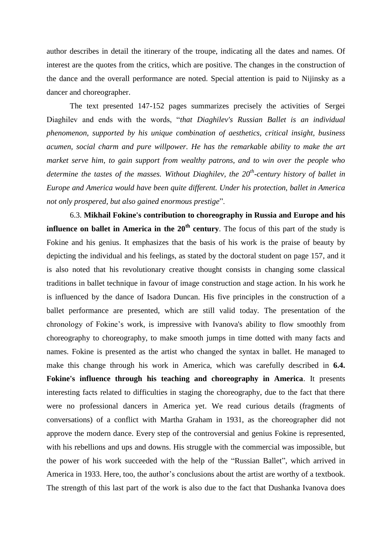author describes in detail the itinerary of the troupe, indicating all the dates and names. Of interest are the quotes from the critics, which are positive. The changes in the construction of the dance and the overall performance are noted. Special attention is paid to Nijinsky as a dancer and choreographer.

The text presented 147-152 pages summarizes precisely the activities of Sergei Diaghilev and ends with the words, "*that Diaghilev's Russian Ballet is an individual phenomenon, supported by his unique combination of aesthetics, critical insight, business acumen, social charm and pure willpower. He has the remarkable ability to make the art market serve him, to gain support from wealthy patrons, and to win over the people who determine the tastes of the masses. Without Diaghilev, the 20th -century history of ballet in Europe and America would have been quite different. Under his protection, ballet in America not only prospered, but also gained enormous prestige*".

6.3. **Mikhail Fokine's contribution to choreography in Russia and Europe and his influence on ballet in America in the 20<sup>th</sup> century**. The focus of this part of the study is Fokine and his genius. It emphasizes that the basis of his work is the praise of beauty by depicting the individual and his feelings, as stated by the doctoral student on page 157, and it is also noted that his revolutionary creative thought consists in changing some classical traditions in ballet technique in favour of image construction and stage action. In his work he is influenced by the dance of Isadora Duncan. His five principles in the construction of a ballet performance are presented, which are still valid today. The presentation of the chronology of Fokine's work, is impressive with Ivanova's ability to flow smoothly from choreography to choreography, to make smooth jumps in time dotted with many facts and names. Fokine is presented as the artist who changed the syntax in ballet. He managed to make this change through his work in America, which was carefully described in **6.4. Fokine's influence through his teaching and choreography in America**. It presents interesting facts related to difficulties in staging the choreography, due to the fact that there were no professional dancers in America yet. We read curious details (fragments of conversations) of a conflict with Martha Graham in 1931, as the choreographer did not approve the modern dance. Every step of the controversial and genius Fokine is represented, with his rebellions and ups and downs. His struggle with the commercial was impossible, but the power of his work succeeded with the help of the "Russian Ballet", which arrived in America in 1933. Here, too, the author's conclusions about the artist are worthy of a textbook. The strength of this last part of the work is also due to the fact that Dushanka Ivanova does